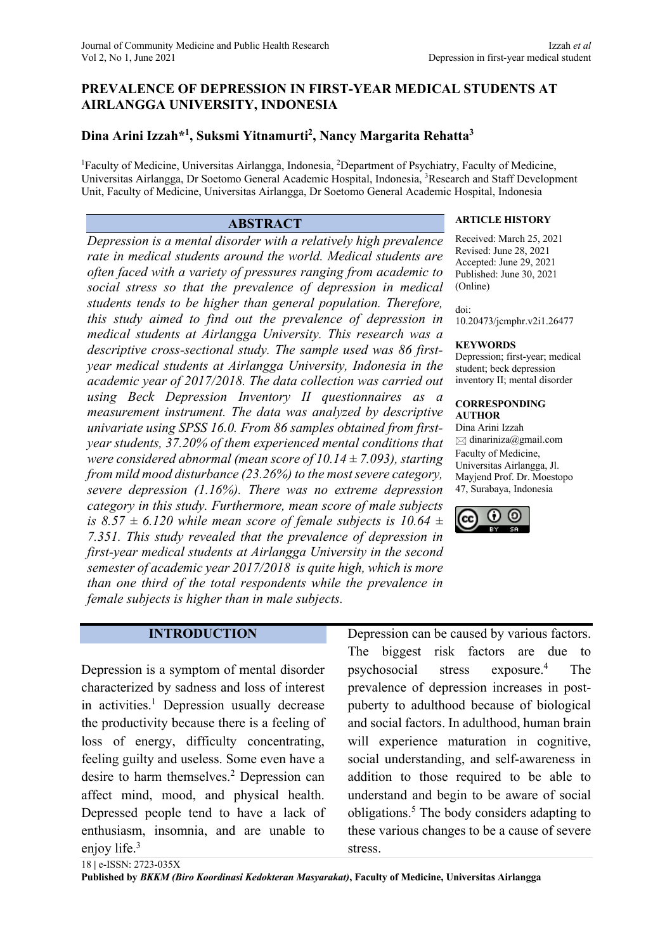# **PREVALENCE OF DEPRESSION IN FIRST-YEAR MEDICAL STUDENTS AT AIRLANGGA UNIVERSITY, INDONESIA**

# **Dina Arini Izzah\*1 , Suksmi Yitnamurti2 , Nancy Margarita Rehatta3**

<sup>1</sup>Faculty of Medicine, Universitas Airlangga, Indonesia, <sup>2</sup>Department of Psychiatry, Faculty of Medicine, Universitas Airlangga, Dr Soetomo General Academic Hospital, Indonesia, <sup>3</sup>Research and Staff Development Unit, Faculty of Medicine, Universitas Airlangga, Dr Soetomo General Academic Hospital, Indonesia

*Depression is a mental disorder with a relatively high prevalence rate in medical students around the world. Medical students are often faced with a variety of pressures ranging from academic to social stress so that the prevalence of depression in medical students tends to be higher than general population. Therefore, this study aimed to find out the prevalence of depression in medical students at Airlangga University. This research was a descriptive cross-sectional study. The sample used was 86 firstyear medical students at Airlangga University, Indonesia in the academic year of 2017/2018. The data collection was carried out using Beck Depression Inventory II questionnaires as a measurement instrument. The data was analyzed by descriptive univariate using SPSS 16.0. From 86 samples obtained from firstyear students, 37.20% of them experienced mental conditions that were considered abnormal (mean score of 10.14 ± 7.093), starting from mild mood disturbance (23.26%) to the most severe category, severe depression (1.16%). There was no extreme depression category in this study. Furthermore, mean score of male subjects is 8.57*  $\pm$  *6.120 while mean score of female subjects is 10.64*  $\pm$ *7.351. This study revealed that the prevalence of depression in first-year medical students at Airlangga University in the second semester of academic year 2017/2018 is quite high, which is more than one third of the total respondents while the prevalence in female subjects is higher than in male subjects.*

# **ABSTRACT ARTICLE HISTORY**

Received: March 25, 2021 Revised: June 28, 2021 Accepted: June 29, 2021 Published: June 30, 2021 (Online)

doi:

10.20473/jcmphr.v2i1.26477

#### **KEYWORDS**

Depression; first-year; medical student; beck depression inventory II; mental disorder

#### **CORRESPONDING AUTHOR**

Dina Arini Izzah  $\boxtimes$  dinariniza@gmail.com Faculty of Medicine, Universitas Airlangga, Jl. Mayjend Prof. Dr. Moestopo 47, Surabaya, Indonesia



### **INTRODUCTION**

Depression is a symptom of mental disorder characterized by sadness and loss of interest in activities.<sup>1</sup> Depression usually decrease the productivity because there is a feeling of loss of energy, difficulty concentrating, feeling guilty and useless. Some even have a desire to harm themselves.<sup>2</sup> Depression can affect mind, mood, and physical health. Depressed people tend to have a lack of enthusiasm, insomnia, and are unable to enjoy life.<sup>3</sup>

Depression can be caused by various factors. The biggest risk factors are due to psychosocial stress exposure.4 The prevalence of depression increases in postpuberty to adulthood because of biological and social factors. In adulthood, human brain will experience maturation in cognitive, social understanding, and self-awareness in addition to those required to be able to understand and begin to be aware of social obligations.5 The body considers adapting to these various changes to be a cause of severe stress.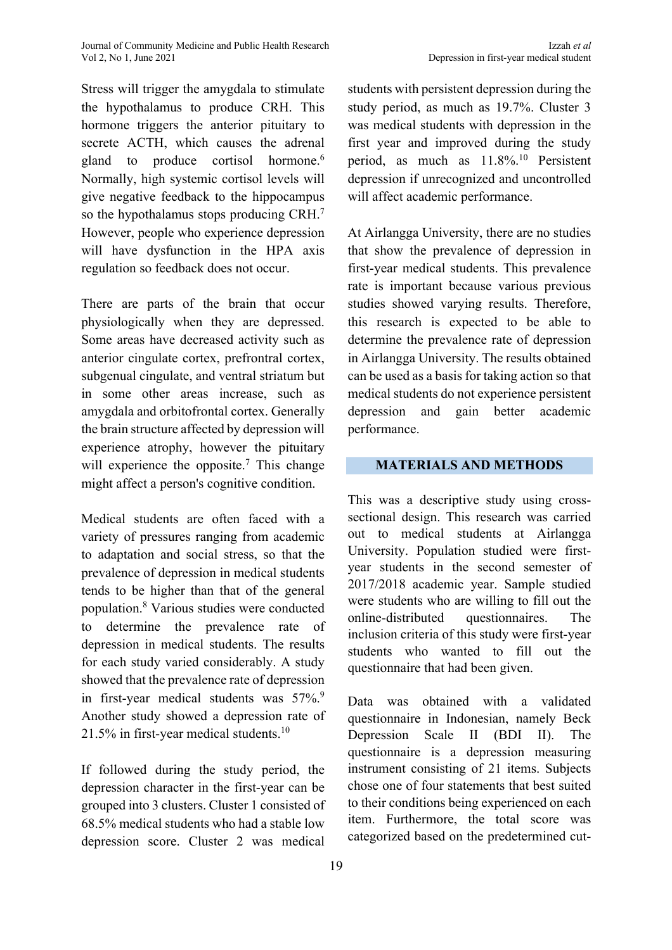Stress will trigger the amygdala to stimulate the hypothalamus to produce CRH. This hormone triggers the anterior pituitary to secrete ACTH, which causes the adrenal gland to produce cortisol hormone.<sup>6</sup> Normally, high systemic cortisol levels will give negative feedback to the hippocampus so the hypothalamus stops producing CRH.7 However, people who experience depression will have dysfunction in the HPA axis regulation so feedback does not occur.

There are parts of the brain that occur physiologically when they are depressed. Some areas have decreased activity such as anterior cingulate cortex, prefrontral cortex, subgenual cingulate, and ventral striatum but in some other areas increase, such as amygdala and orbitofrontal cortex. Generally the brain structure affected by depression will experience atrophy, however the pituitary will experience the opposite.<sup>7</sup> This change might affect a person's cognitive condition.

Medical students are often faced with a variety of pressures ranging from academic to adaptation and social stress, so that the prevalence of depression in medical students tends to be higher than that of the general population.8 Various studies were conducted to determine the prevalence rate of depression in medical students. The results for each study varied considerably. A study showed that the prevalence rate of depression in first-year medical students was  $57\%$ . Another study showed a depression rate of 21.5% in first-year medical students.10

If followed during the study period, the depression character in the first-year can be grouped into 3 clusters. Cluster 1 consisted of 68.5% medical students who had a stable low depression score. Cluster 2 was medical

Depression in first-year medical student

students with persistent depression during the study period, as much as 19.7%. Cluster 3 was medical students with depression in the first year and improved during the study period, as much as  $11.8\%$ <sup>10</sup> Persistent depression if unrecognized and uncontrolled will affect academic performance.

At Airlangga University, there are no studies that show the prevalence of depression in first-year medical students. This prevalence rate is important because various previous studies showed varying results. Therefore, this research is expected to be able to determine the prevalence rate of depression in Airlangga University. The results obtained can be used as a basis for taking action so that medical students do not experience persistent depression and gain better academic performance.

### **MATERIALS AND METHODS**

This was a descriptive study using crosssectional design. This research was carried out to medical students at Airlangga University. Population studied were firstyear students in the second semester of 2017/2018 academic year. Sample studied were students who are willing to fill out the online-distributed questionnaires. The inclusion criteria of this study were first-year students who wanted to fill out the questionnaire that had been given.

Data was obtained with a validated questionnaire in Indonesian, namely Beck Depression Scale II (BDI II). The questionnaire is a depression measuring instrument consisting of 21 items. Subjects chose one of four statements that best suited to their conditions being experienced on each item. Furthermore, the total score was categorized based on the predetermined cut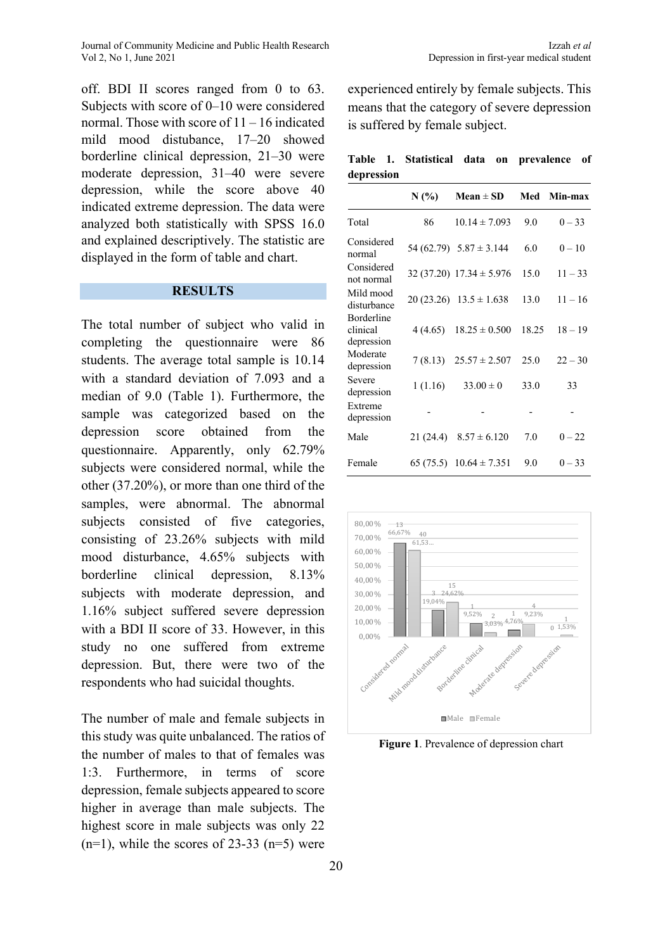off. BDI II scores ranged from 0 to 63. Subjects with score of 0–10 were considered normal. Those with score of 11 – 16 indicated mild mood distubance, 17–20 showed borderline clinical depression, 21–30 were moderate depression, 31–40 were severe depression, while the score above 40 indicated extreme depression. The data were analyzed both statistically with SPSS 16.0 and explained descriptively. The statistic are displayed in the form of table and chart.

## **RESULTS**

The total number of subject who valid in completing the questionnaire were 86 students. The average total sample is 10.14 with a standard deviation of 7.093 and a median of 9.0 (Table 1). Furthermore, the sample was categorized based on the depression score obtained from the questionnaire. Apparently, only 62.79% subjects were considered normal, while the other (37.20%), or more than one third of the samples, were abnormal. The abnormal subjects consisted of five categories, consisting of 23.26% subjects with mild mood disturbance, 4.65% subjects with borderline clinical depression, 8.13% subjects with moderate depression, and 1.16% subject suffered severe depression with a BDI II score of 33. However, in this study no one suffered from extreme depression. But, there were two of the respondents who had suicidal thoughts.

The number of male and female subjects in this study was quite unbalanced. The ratios of the number of males to that of females was 1:3. Furthermore, in terms of score depression, female subjects appeared to score higher in average than male subjects. The highest score in male subjects was only 22  $(n=1)$ , while the scores of 23-33  $(n=5)$  were

experienced entirely by female subjects. This means that the category of severe depression is suffered by female subject.

|            |  |  | Table 1. Statistical data on prevalence of |  |
|------------|--|--|--------------------------------------------|--|
| depression |  |  |                                            |  |

|                                      | N(%       | $Mean \pm SD$                 | Med   | Min-max   |
|--------------------------------------|-----------|-------------------------------|-------|-----------|
| Total                                | 86        | $10.14 \pm 7.093$             | 9.0   | $0 - 33$  |
| Considered<br>normal                 |           | 54 (62.79) $5.87 \pm 3.144$   | 6.0   | $0 - 10$  |
| Considered<br>not normal             |           | $32(37.20)$ $17.34 \pm 5.976$ | 15.0  | $11 - 33$ |
| Mild mood<br>disturbance             |           | $20(23.26)$ $13.5 \pm 1.638$  | 13.0  | $11 - 16$ |
| Borderline<br>clinical<br>depression | 4 (4.65)  | $18.25 \pm 0.500$             | 18.25 | $18 - 19$ |
| Moderate<br>depression               | 7(8.13)   | $25.57 \pm 2.507$             | 25.0  | $22 - 30$ |
| Severe<br>depression                 | 1(1.16)   | $33.00 \pm 0$                 | 33.0  | 33        |
| Extreme<br>depression                |           |                               |       |           |
| Male                                 | 21 (24.4) | $8.57 \pm 6.120$              | 7.0   | $0 - 22$  |
| Female                               |           | 65 (75.5) $10.64 \pm 7.351$   | 9.0   | $0 - 33$  |



**Figure 1**. Prevalence of depression chart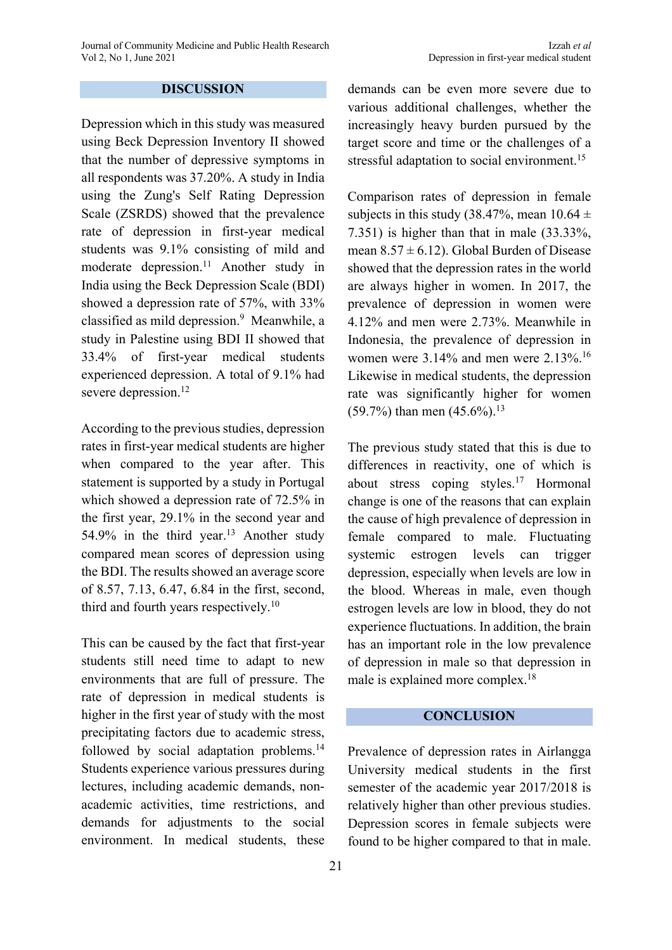## **DISCUSSION**

Depression which in this study was measured using Beck Depression Inventory II showed that the number of depressive symptoms in all respondents was 37.20%. A study in India using the Zung's Self Rating Depression Scale (ZSRDS) showed that the prevalence rate of depression in first-year medical students was 9.1% consisting of mild and moderate depression.<sup>11</sup> Another study in India using the Beck Depression Scale (BDI) showed a depression rate of 57%, with 33% classified as mild depression.<sup>9</sup> Meanwhile, a study in Palestine using BDI II showed that 33.4% of first-year medical students experienced depression. A total of 9.1% had severe depression.<sup>12</sup>

According to the previous studies, depression rates in first-year medical students are higher when compared to the year after. This statement is supported by a study in Portugal which showed a depression rate of 72.5% in the first year, 29.1% in the second year and 54.9% in the third year.<sup>13</sup> Another study compared mean scores of depression using the BDI. The results showed an average score of 8.57, 7.13, 6.47, 6.84 in the first, second, third and fourth years respectively.<sup>10</sup>

This can be caused by the fact that first-year students still need time to adapt to new environments that are full of pressure. The rate of depression in medical students is higher in the first year of study with the most precipitating factors due to academic stress, followed by social adaptation problems.<sup>14</sup> Students experience various pressures during lectures, including academic demands, nonacademic activities, time restrictions, and demands for adjustments to the social environment. In medical students, these

demands can be even more severe due to various additional challenges, whether the increasingly heavy burden pursued by the target score and time or the challenges of a stressful adaptation to social environment.<sup>15</sup>

Comparison rates of depression in female subjects in this study (38.47%, mean  $10.64 \pm$ 7.351) is higher than that in male (33.33%, mean  $8.57 \pm 6.12$ ). Global Burden of Disease showed that the depression rates in the world are always higher in women. In 2017, the prevalence of depression in women were 4.12% and men were 2.73%. Meanwhile in Indonesia, the prevalence of depression in women were 3.14% and men were 2.13%.16 Likewise in medical students, the depression rate was significantly higher for women (59.7%) than men  $(45.6\%)$ .<sup>13</sup>

The previous study stated that this is due to differences in reactivity, one of which is about stress coping styles.17 Hormonal change is one of the reasons that can explain the cause of high prevalence of depression in female compared to male. Fluctuating systemic estrogen levels can trigger depression, especially when levels are low in the blood. Whereas in male, even though estrogen levels are low in blood, they do not experience fluctuations. In addition, the brain has an important role in the low prevalence of depression in male so that depression in male is explained more complex.18

#### **CONCLUSION**

Prevalence of depression rates in Airlangga University medical students in the first semester of the academic year 2017/2018 is relatively higher than other previous studies. Depression scores in female subjects were found to be higher compared to that in male.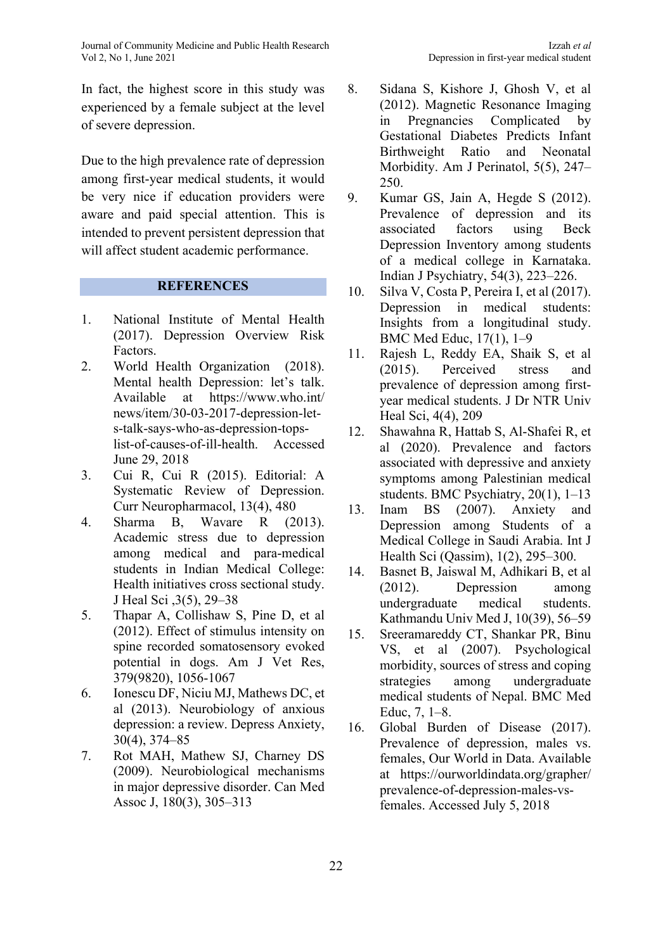In fact, the highest score in this study was experienced by a female subject at the level of severe depression.

Due to the high prevalence rate of depression among first-year medical students, it would be very nice if education providers were aware and paid special attention. This is intended to prevent persistent depression that will affect student academic performance.

## **REFERENCES**

- 1. National Institute of Mental Health (2017). Depression Overview Risk Factors.
- 2. World Health Organization (2018). Mental health Depression: let's talk. Available at https://www.who.int/ news/item/30-03-2017-depression-lets-talk-says-who-as-depression-topslist-of-causes-of-ill-health. Accessed June 29, 2018
- 3. Cui R, Cui R (2015). Editorial: A Systematic Review of Depression. Curr Neuropharmacol, 13(4), 480
- 4. Sharma B, Wavare R (2013). Academic stress due to depression among medical and para-medical students in Indian Medical College: Health initiatives cross sectional study. J Heal Sci ,3(5), 29–38
- 5. Thapar A, Collishaw S, Pine D, et al (2012). Effect of stimulus intensity on spine recorded somatosensory evoked potential in dogs. Am J Vet Res, 379(9820), 1056-1067
- 6. Ionescu DF, Niciu MJ, Mathews DC, et al (2013). Neurobiology of anxious depression: a review. Depress Anxiety, 30(4), 374–85
- 7. Rot MAH, Mathew SJ, Charney DS (2009). Neurobiological mechanisms in major depressive disorder. Can Med Assoc J, 180(3), 305–313
- 
- 8. Sidana S, Kishore J, Ghosh V, et al (2012). Magnetic Resonance Imaging in Pregnancies Complicated by Gestational Diabetes Predicts Infant Birthweight Ratio and Neonatal Morbidity. Am J Perinatol, 5(5), 247– 250.
- 9. Kumar GS, Jain A, Hegde S (2012). Prevalence of depression and its associated factors using Beck Depression Inventory among students of a medical college in Karnataka. Indian J Psychiatry, 54(3), 223–226.
- 10. Silva V, Costa P, Pereira I, et al (2017). Depression in medical students: Insights from a longitudinal study. BMC Med Educ, 17(1), 1–9
- 11. Rajesh L, Reddy EA, Shaik S, et al (2015). Perceived stress and prevalence of depression among firstyear medical students. J Dr NTR Univ Heal Sci, 4(4), 209
- 12. Shawahna R, Hattab S, Al-Shafei R, et al (2020). Prevalence and factors associated with depressive and anxiety symptoms among Palestinian medical students. BMC Psychiatry, 20(1), 1–13
- 13. Inam BS (2007). Anxiety and Depression among Students of a Medical College in Saudi Arabia. Int J Health Sci (Qassim), 1(2), 295–300.
- 14. Basnet B, Jaiswal M, Adhikari B, et al (2012). Depression among undergraduate medical students. Kathmandu Univ Med J, 10(39), 56–59
- 15. Sreeramareddy CT, Shankar PR, Binu VS, et al (2007). Psychological morbidity, sources of stress and coping strategies among undergraduate medical students of Nepal. BMC Med Educ, 7, 1–8.
- 16. Global Burden of Disease (2017). Prevalence of depression, males vs. females, Our World in Data. Available at https://ourworldindata.org/grapher/ prevalence-of-depression-males-vsfemales. Accessed July 5, 2018